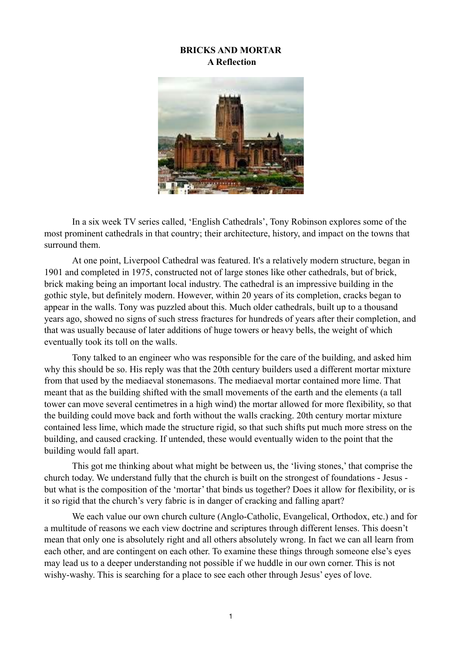# **BRICKS AND MORTAR A Reflection**



 In a six week TV series called, 'English Cathedrals', Tony Robinson explores some of the most prominent cathedrals in that country; their architecture, history, and impact on the towns that surround them.

 At one point, Liverpool Cathedral was featured. It's a relatively modern structure, began in 1901 and completed in 1975, constructed not of large stones like other cathedrals, but of brick, brick making being an important local industry. The cathedral is an impressive building in the gothic style, but definitely modern. However, within 20 years of its completion, cracks began to appear in the walls. Tony was puzzled about this. Much older cathedrals, built up to a thousand years ago, showed no signs of such stress fractures for hundreds of years after their completion, and that was usually because of later additions of huge towers or heavy bells, the weight of which eventually took its toll on the walls.

 Tony talked to an engineer who was responsible for the care of the building, and asked him why this should be so. His reply was that the 20th century builders used a different mortar mixture from that used by the mediaeval stonemasons. The mediaeval mortar contained more lime. That meant that as the building shifted with the small movements of the earth and the elements (a tall tower can move several centimetres in a high wind) the mortar allowed for more flexibility, so that the building could move back and forth without the walls cracking. 20th century mortar mixture contained less lime, which made the structure rigid, so that such shifts put much more stress on the building, and caused cracking. If untended, these would eventually widen to the point that the building would fall apart.

 This got me thinking about what might be between us, the 'living stones,' that comprise the church today. We understand fully that the church is built on the strongest of foundations - Jesus but what is the composition of the 'mortar' that binds us together? Does it allow for flexibility, or is it so rigid that the church's very fabric is in danger of cracking and falling apart?

 We each value our own church culture (Anglo-Catholic, Evangelical, Orthodox, etc.) and for a multitude of reasons we each view doctrine and scriptures through different lenses. This doesn't mean that only one is absolutely right and all others absolutely wrong. In fact we can all learn from each other, and are contingent on each other. To examine these things through someone else's eyes may lead us to a deeper understanding not possible if we huddle in our own corner. This is not wishy-washy. This is searching for a place to see each other through Jesus' eyes of love.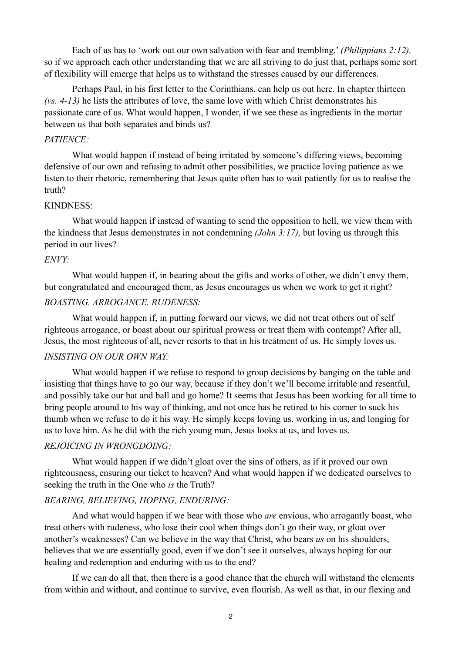Each of us has to 'work out our own salvation with fear and trembling,' *(Philippians 2:12),*  so if we approach each other understanding that we are all striving to do just that, perhaps some sort of flexibility will emerge that helps us to withstand the stresses caused by our differences.

 Perhaps Paul, in his first letter to the Corinthians, can help us out here. In chapter thirteen *(vs. 4-13)* he lists the attributes of love, the same love with which Christ demonstrates his passionate care of us. What would happen, I wonder, if we see these as ingredients in the mortar between us that both separates and binds us?

#### *PATIENCE:*

 What would happen if instead of being irritated by someone's differing views, becoming defensive of our own and refusing to admit other possibilities, we practice loving patience as we listen to their rhetoric, remembering that Jesus quite often has to wait patiently for us to realise the truth?

### KINDNESS:

What would happen if instead of wanting to send the opposition to hell, we view them with the kindness that Jesus demonstrates in not condemning *(John 3:17),* but loving us through this period in our lives?

### *ENVY:*

What would happen if, in hearing about the gifts and works of other, we didn't envy them, but congratulated and encouraged them, as Jesus encourages us when we work to get it right?

## *BOASTING, ARROGANCE, RUDENESS:*

 What would happen if, in putting forward our views, we did not treat others out of self righteous arrogance, or boast about our spiritual prowess or treat them with contempt? After all, Jesus, the most righteous of all, never resorts to that in his treatment of us. He simply loves us.

## *INSISTING ON OUR OWN WAY:*

What would happen if we refuse to respond to group decisions by banging on the table and insisting that things have to go our way, because if they don't we'll become irritable and resentful, and possibly take our bat and ball and go home? It seems that Jesus has been working for all time to bring people around to his way of thinking, and not once has he retired to his corner to suck his thumb when we refuse to do it his way. He simply keeps loving us, working in us, and longing for us to love him. As he did with the rich young man, Jesus looks at us, and loves us.

## *REJOICING IN WRONGDOING:*

 What would happen if we didn't gloat over the sins of others, as if it proved our own righteousness, ensuring our ticket to heaven? And what would happen if we dedicated ourselves to seeking the truth in the One who *is* the Truth?

### *BEARING, BELIEVING, HOPING, ENDURING:*

 And what would happen if we bear with those who *are* envious, who arrogantly boast, who treat others with rudeness, who lose their cool when things don't go their way, or gloat over another's weaknesses? Can we believe in the way that Christ, who bears *us* on his shoulders, believes that we are essentially good, even if we don't see it ourselves, always hoping for our healing and redemption and enduring with us to the end?

 If we can do all that, then there is a good chance that the church will withstand the elements from within and without, and continue to survive, even flourish. As well as that, in our flexing and